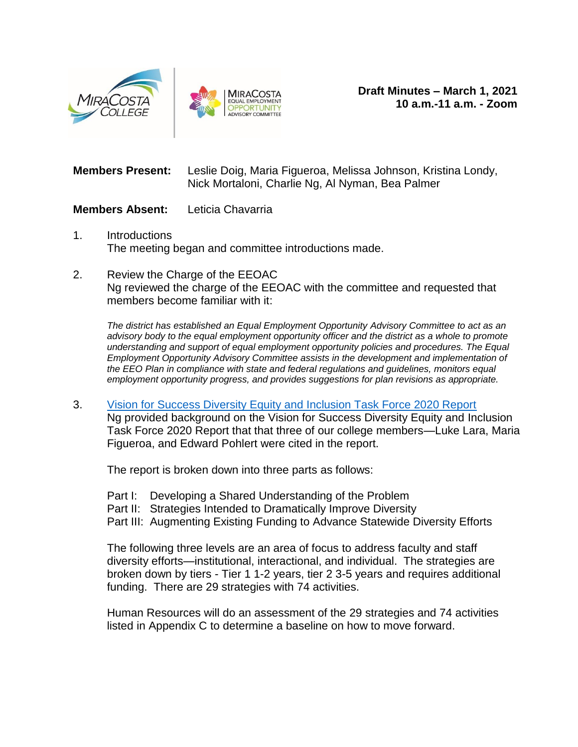



**Members Present:** Leslie Doig, Maria Figueroa, Melissa Johnson, Kristina Londy, Nick Mortaloni, Charlie Ng, Al Nyman, Bea Palmer

## **Members Absent:** Leticia Chavarria

- 1. Introductions The meeting began and committee introductions made.
- 2. Review the Charge of the EEOAC Ng reviewed the charge of the EEOAC with the committee and requested that members become familiar with it:

*The district has established an Equal Employment Opportunity Advisory Committee to act as an advisory body to the equal employment opportunity officer and the district as a whole to promote understanding and support of equal employment opportunity policies and procedures. The Equal Employment Opportunity Advisory Committee assists in the development and implementation of the EEO Plan in compliance with state and federal regulations and guidelines, monitors equal employment opportunity progress, and provides suggestions for plan revisions as appropriate.*

3. [Vision for Success Diversity Equity and Inclusion Task Force 2020 Report](https://www.cccco.edu/-/media/CCCCO-Website/Files/Communications/vision-for-success/cccco-dei-report.pdf) Ng provided background on the Vision for Success Diversity Equity and Inclusion Task Force 2020 Report that that three of our college members—Luke Lara, Maria Figueroa, and Edward Pohlert were cited in the report.

The report is broken down into three parts as follows:

- Part I: Developing a Shared Understanding of the Problem
- Part II: Strategies Intended to Dramatically Improve Diversity
- Part III: Augmenting Existing Funding to Advance Statewide Diversity Efforts

The following three levels are an area of focus to address faculty and staff diversity efforts—institutional, interactional, and individual. The strategies are broken down by tiers - Tier 1 1-2 years, tier 2 3-5 years and requires additional funding. There are 29 strategies with 74 activities.

Human Resources will do an assessment of the 29 strategies and 74 activities listed in Appendix C to determine a baseline on how to move forward.